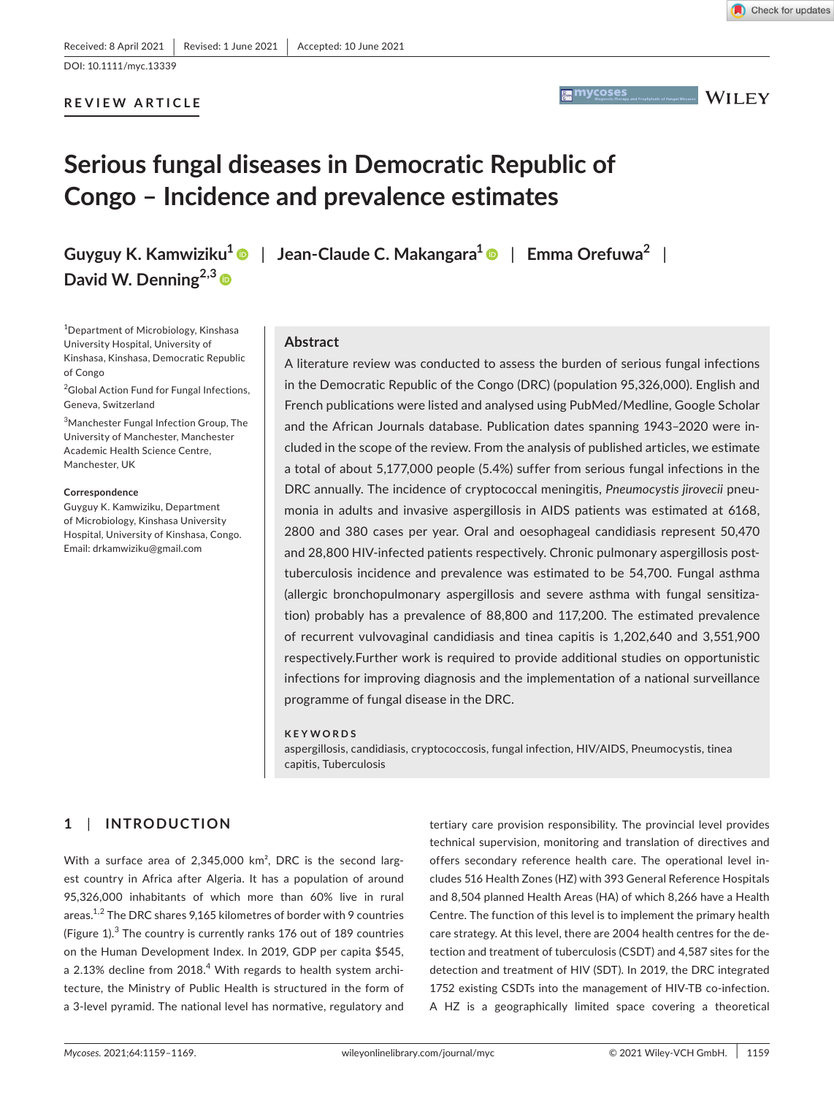### **REVIEW ARTICLE**



**MYCOSES** Magnosis, Therapy and Prophylaxis of Fungal Diseases **WII FY** 

# **Serious fungal diseases in Democratic Republic of Congo – Incidence and prevalence estimates**

**David W. Denning2,3**

1 Department of Microbiology, Kinshasa University Hospital, University of Kinshasa, Kinshasa, Democratic Republic of Congo

<sup>2</sup>Global Action Fund for Fungal Infections, Geneva, Switzerland

3 Manchester Fungal Infection Group, The University of Manchester, Manchester Academic Health Science Centre, Manchester, UK

### **Correspondence**

Guyguy K. Kamwiziku, Department of Microbiology, Kinshasa University Hospital, University of Kinshasa, Congo. Email: [drkamwiziku@gmail.com](mailto:drkamwiziku@gmail.com)

**Guyguy K. Kamwiziku<sup>1</sup>** | **Jean-Claude C. Makangara[1](https://orcid.org/0000-0002-1791-2247)** | **Emma Orefuwa<sup>2</sup>** |

### **Abstract**

A literature review was conducted to assess the burden of serious fungal infections in the Democratic Republic of the Congo (DRC) (population 95,326,000). English and French publications were listed and analysed using PubMed/Medline, Google Scholar and the African Journals database. Publication dates spanning 1943–2020 were included in the scope of the review. From the analysis of published articles, we estimate a total of about 5,177,000 people (5.4%) suffer from serious fungal infections in the DRC annually. The incidence of cryptococcal meningitis, *Pneumocystis jirovecii* pneumonia in adults and invasive aspergillosis in AIDS patients was estimated at 6168, 2800 and 380 cases per year. Oral and oesophageal candidiasis represent 50,470 and 28,800 HIV-infected patients respectively. Chronic pulmonary aspergillosis posttuberculosis incidence and prevalence was estimated to be 54,700. Fungal asthma (allergic bronchopulmonary aspergillosis and severe asthma with fungal sensitization) probably has a prevalence of 88,800 and 117,200. The estimated prevalence of recurrent vulvovaginal candidiasis and tinea capitis is 1,202,640 and 3,551,900 respectively.Further work is required to provide additional studies on opportunistic infections for improving diagnosis and the implementation of a national surveillance programme of fungal disease in the DRC.

### **KEYWORDS**

aspergillosis, candidiasis, cryptococcosis, fungal infection, HIV/AIDS, Pneumocystis, tinea capitis, Tuberculosis

# **1**  | **INTRODUCTION**

With a surface area of 2,345,000 km<sup>2</sup>, DRC is the second largest country in Africa after Algeria. It has a population of around 95,326,000 inhabitants of which more than 60% live in rural areas.<sup>1,2</sup> The DRC shares 9,165 kilometres of border with 9 countries (Figure  $1$ ).<sup>3</sup> The country is currently ranks  $176$  out of  $189$  countries on the Human Development Index. In 2019, GDP per capita \$545, a 2.13% decline from 2018. $^4$  With regards to health system architecture, the Ministry of Public Health is structured in the form of a 3-level pyramid. The national level has normative, regulatory and

tertiary care provision responsibility. The provincial level provides technical supervision, monitoring and translation of directives and offers secondary reference health care. The operational level includes 516 Health Zones (HZ) with 393 General Reference Hospitals and 8,504 planned Health Areas (HA) of which 8,266 have a Health Centre. The function of this level is to implement the primary health care strategy. At this level, there are 2004 health centres for the detection and treatment of tuberculosis (CSDT) and 4,587 sites for the detection and treatment of HIV (SDT). In 2019, the DRC integrated 1752 existing CSDTs into the management of HIV-TB co-infection. A HZ is a geographically limited space covering a theoretical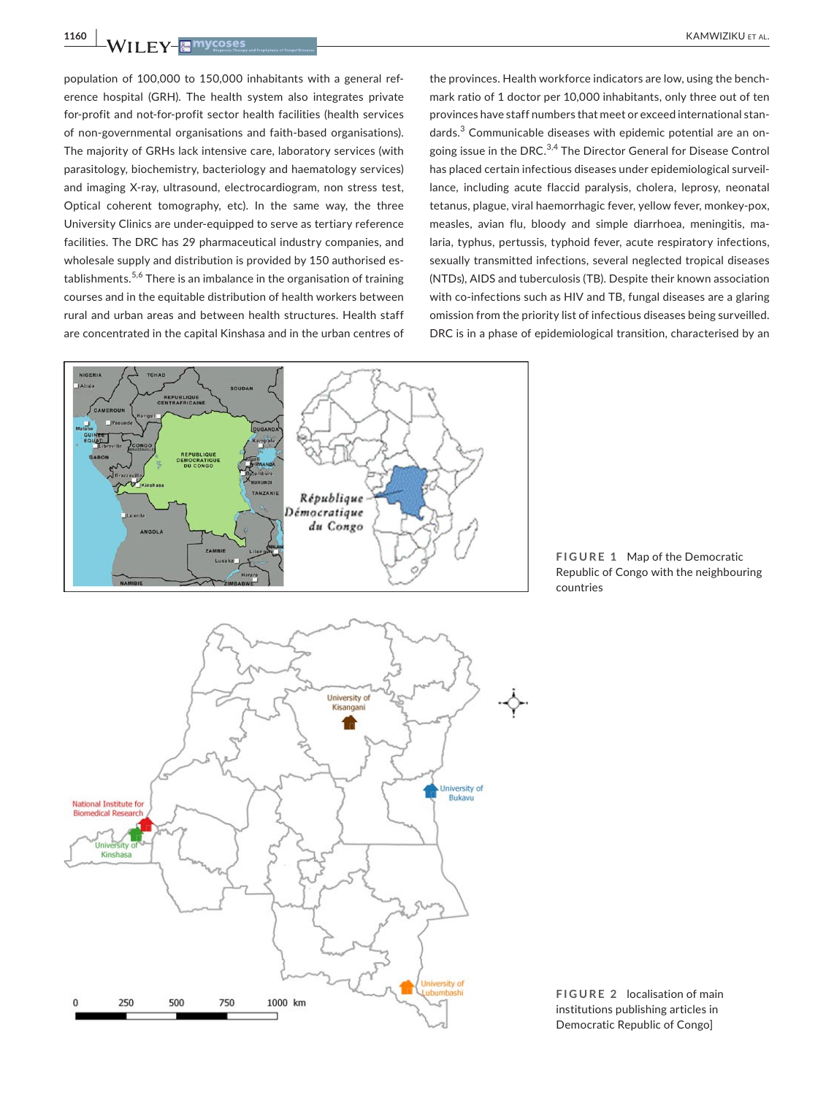250

 $\Omega$ 

500

750

**1160 <sup>|</sup>**  KAMWIZIKU et al.

population of 100,000 to 150,000 inhabitants with a general reference hospital (GRH). The health system also integrates private for-profit and not-for-profit sector health facilities (health services of non-governmental organisations and faith-based organisations). The majority of GRHs lack intensive care, laboratory services (with parasitology, biochemistry, bacteriology and haematology services) and imaging X-ray, ultrasound, electrocardiogram, non stress test, Optical coherent tomography, etc). In the same way, the three University Clinics are under-equipped to serve as tertiary reference facilities. The DRC has 29 pharmaceutical industry companies, and wholesale supply and distribution is provided by 150 authorised establishments.<sup>5,6</sup> There is an imbalance in the organisation of training courses and in the equitable distribution of health workers between rural and urban areas and between health structures. Health staff are concentrated in the capital Kinshasa and in the urban centres of

the provinces. Health workforce indicators are low, using the benchmark ratio of 1 doctor per 10,000 inhabitants, only three out of ten provinces have staff numbers that meet or exceed international standards.<sup>3</sup> Communicable diseases with epidemic potential are an ongoing issue in the DRC.3,4 The Director General for Disease Control has placed certain infectious diseases under epidemiological surveillance, including acute flaccid paralysis, cholera, leprosy, neonatal tetanus, plague, viral haemorrhagic fever, yellow fever, monkey-pox, measles, avian flu, bloody and simple diarrhoea, meningitis, malaria, typhus, pertussis, typhoid fever, acute respiratory infections, sexually transmitted infections, several neglected tropical diseases (NTDs), AIDS and tuberculosis (TB). Despite their known association with co-infections such as HIV and TB, fungal diseases are a glaring omission from the priority list of infectious diseases being surveilled. DRC is in a phase of epidemiological transition, characterised by an



1000 km

**FIGURE 1** Map of the Democratic Republic of Congo with the neighbouring countries

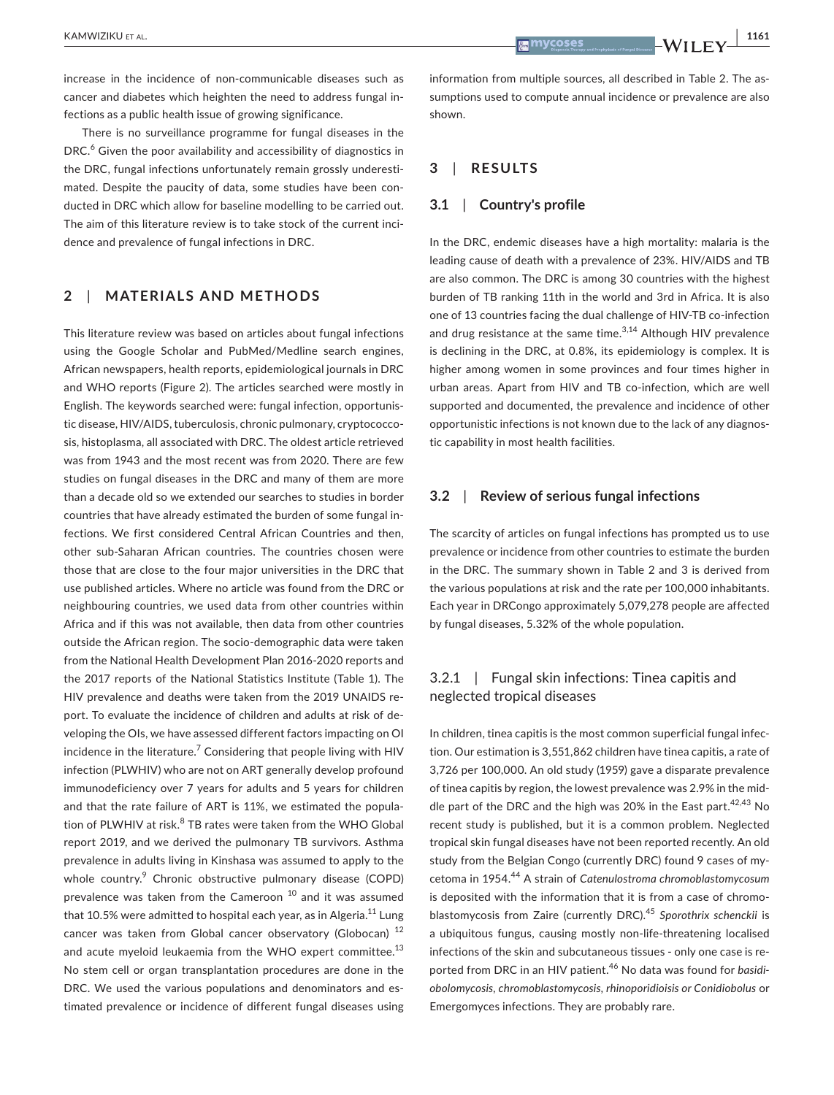increase in the incidence of non-communicable diseases such as cancer and diabetes which heighten the need to address fungal infections as a public health issue of growing significance.

There is no surveillance programme for fungal diseases in the DRC.<sup>6</sup> Given the poor availability and accessibility of diagnostics in the DRC, fungal infections unfortunately remain grossly underestimated. Despite the paucity of data, some studies have been conducted in DRC which allow for baseline modelling to be carried out. The aim of this literature review is to take stock of the current incidence and prevalence of fungal infections in DRC.

# **2**  | **MATERIALS AND METHODS**

This literature review was based on articles about fungal infections using the Google Scholar and PubMed/Medline search engines, African newspapers, health reports, epidemiological journals in DRC and WHO reports (Figure 2). The articles searched were mostly in English. The keywords searched were: fungal infection, opportunistic disease, HIV/AIDS, tuberculosis, chronic pulmonary, cryptococcosis, histoplasma, all associated with DRC. The oldest article retrieved was from 1943 and the most recent was from 2020. There are few studies on fungal diseases in the DRC and many of them are more than a decade old so we extended our searches to studies in border countries that have already estimated the burden of some fungal infections. We first considered Central African Countries and then, other sub-Saharan African countries. The countries chosen were those that are close to the four major universities in the DRC that use published articles. Where no article was found from the DRC or neighbouring countries, we used data from other countries within Africa and if this was not available, then data from other countries outside the African region. The socio-demographic data were taken from the National Health Development Plan 2016-2020 reports and the 2017 reports of the National Statistics Institute (Table 1). The HIV prevalence and deaths were taken from the 2019 UNAIDS report. To evaluate the incidence of children and adults at risk of developing the OIs, we have assessed different factors impacting on OI incidence in the literature. $7$  Considering that people living with HIV infection (PLWHIV) who are not on ART generally develop profound immunodeficiency over 7 years for adults and 5 years for children and that the rate failure of ART is 11%, we estimated the population of PLWHIV at risk.<sup>8</sup> TB rates were taken from the WHO Global report 2019, and we derived the pulmonary TB survivors. Asthma prevalence in adults living in Kinshasa was assumed to apply to the whole country.<sup>9</sup> Chronic obstructive pulmonary disease (COPD) prevalence was taken from the Cameroon<sup>10</sup> and it was assumed that 10.5% were admitted to hospital each year, as in Algeria.<sup>11</sup> Lung cancer was taken from Global cancer observatory (Globocan) <sup>12</sup> and acute myeloid leukaemia from the WHO expert committee. $^{13}$ No stem cell or organ transplantation procedures are done in the DRC. We used the various populations and denominators and estimated prevalence or incidence of different fungal diseases using

information from multiple sources, all described in Table 2. The assumptions used to compute annual incidence or prevalence are also shown.

# **3**  | **RESULTS**

### **3.1**  | **Country's profile**

In the DRC, endemic diseases have a high mortality: malaria is the leading cause of death with a prevalence of 23%. HIV/AIDS and TB are also common. The DRC is among 30 countries with the highest burden of TB ranking 11th in the world and 3rd in Africa. It is also one of 13 countries facing the dual challenge of HIV-TB co-infection and drug resistance at the same time. $3,14$  Although HIV prevalence is declining in the DRC, at 0.8%, its epidemiology is complex. It is higher among women in some provinces and four times higher in urban areas. Apart from HIV and TB co-infection, which are well supported and documented, the prevalence and incidence of other opportunistic infections is not known due to the lack of any diagnostic capability in most health facilities.

### **3.2**  | **Review of serious fungal infections**

The scarcity of articles on fungal infections has prompted us to use prevalence or incidence from other countries to estimate the burden in the DRC. The summary shown in Table 2 and 3 is derived from the various populations at risk and the rate per 100,000 inhabitants. Each year in DRCongo approximately 5,079,278 people are affected by fungal diseases, 5.32% of the whole population.

# 3.2.1 | Fungal skin infections: Tinea capitis and neglected tropical diseases

In children, tinea capitis is the most common superficial fungal infection. Our estimation is 3,551,862 children have tinea capitis, a rate of 3,726 per 100,000. An old study (1959) gave a disparate prevalence of tinea capitis by region, the lowest prevalence was 2.9% in the middle part of the DRC and the high was 20% in the East part.<sup>42,43</sup> No recent study is published, but it is a common problem. Neglected tropical skin fungal diseases have not been reported recently. An old study from the Belgian Congo (currently DRC) found 9 cases of mycetoma in 1954.44 A strain of *Catenulostroma chromoblastomycosum* is deposited with the information that it is from a case of chromoblastomycosis from Zaire (currently DRC).<sup>45</sup> *Sporothrix schenckii* is a ubiquitous fungus, causing mostly non-life-threatening localised infections of the skin and subcutaneous tissues - only one case is reported from DRC in an HIV patient.46 No data was found for *basidiobolomycosis, chromoblastomycosis, rhinoporidioisis or Conidiobolus* or Emergomyces infections. They are probably rare.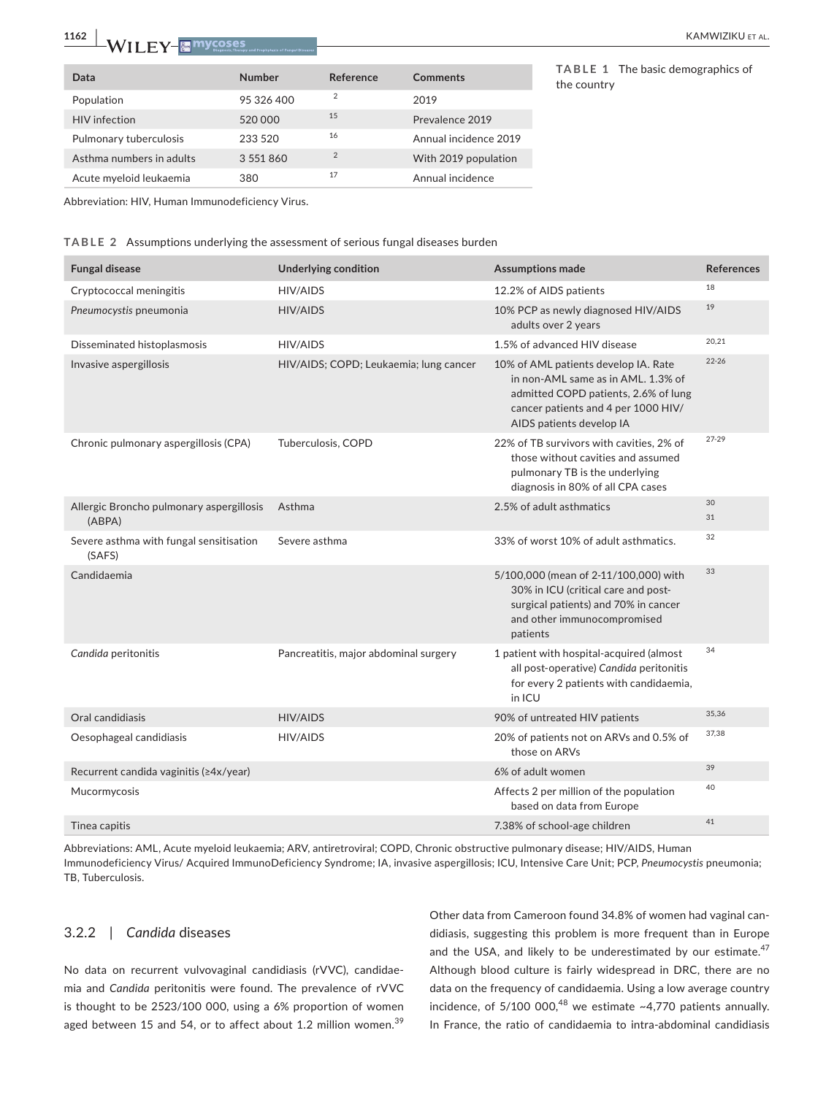# **1162 <sup>|</sup>**  KAMWIZIKU et al.

| Data                     | <b>Number</b> | Reference | Comments              |
|--------------------------|---------------|-----------|-----------------------|
| Population               | 95 326 400    | 2         | 2019                  |
| <b>HIV</b> infection     | 520000        | 15        | Prevalence 2019       |
| Pulmonary tuberculosis   | 233 520       | 16        | Annual incidence 2019 |
| Asthma numbers in adults | 3 551 860     | 2         | With 2019 population  |
| Acute myeloid leukaemia  | 380           | 17        | Annual incidence      |

**TABLE 1** The basic demographics of the country

Abbreviation: HIV, Human Immunodeficiency Virus.

**TABLE 2** Assumptions underlying the assessment of serious fungal diseases burden

| <b>Fungal disease</b>                              | <b>Underlying condition</b>            | <b>Assumptions made</b>                                                                                                                                                               | <b>References</b> |
|----------------------------------------------------|----------------------------------------|---------------------------------------------------------------------------------------------------------------------------------------------------------------------------------------|-------------------|
| Cryptococcal meningitis                            | HIV/AIDS                               | 12.2% of AIDS patients                                                                                                                                                                | 18                |
| Pneumocystis pneumonia                             | <b>HIV/AIDS</b>                        | 10% PCP as newly diagnosed HIV/AIDS<br>adults over 2 years                                                                                                                            | 19                |
| Disseminated histoplasmosis                        | <b>HIV/AIDS</b>                        | 1.5% of advanced HIV disease                                                                                                                                                          | 20,21             |
| Invasive aspergillosis                             | HIV/AIDS; COPD; Leukaemia; lung cancer | 10% of AML patients develop IA. Rate<br>in non-AML same as in AML, 1.3% of<br>admitted COPD patients, 2.6% of lung<br>cancer patients and 4 per 1000 HIV/<br>AIDS patients develop IA | $22 - 26$         |
| Chronic pulmonary aspergillosis (CPA)              | Tuberculosis, COPD                     | 22% of TB survivors with cavities, 2% of<br>those without cavities and assumed<br>pulmonary TB is the underlying<br>diagnosis in 80% of all CPA cases                                 | 27-29             |
| Allergic Broncho pulmonary aspergillosis<br>(ABPA) | Asthma                                 | 2.5% of adult asthmatics                                                                                                                                                              | 30<br>31          |
| Severe asthma with fungal sensitisation<br>(SAFS)  | Severe asthma                          | 33% of worst 10% of adult asthmatics.                                                                                                                                                 | 32                |
| Candidaemia                                        |                                        | 5/100,000 (mean of 2-11/100,000) with<br>30% in ICU (critical care and post-<br>surgical patients) and 70% in cancer<br>and other immunocompromised<br>patients                       | 33                |
| Candida peritonitis                                | Pancreatitis, major abdominal surgery  | 1 patient with hospital-acquired (almost<br>all post-operative) Candida peritonitis<br>for every 2 patients with candidaemia,<br>in ICU                                               | 34                |
| Oral candidiasis                                   | <b>HIV/AIDS</b>                        | 90% of untreated HIV patients                                                                                                                                                         | 35,36             |
| Oesophageal candidiasis                            | <b>HIV/AIDS</b>                        | 20% of patients not on ARVs and 0.5% of<br>those on ARVs                                                                                                                              | 37,38             |
| Recurrent candida vaginitis (≥4x/year)             |                                        | 6% of adult women                                                                                                                                                                     | 39                |
| Mucormycosis                                       |                                        | Affects 2 per million of the population<br>based on data from Europe                                                                                                                  | 40                |
| Tinea capitis                                      |                                        | 7.38% of school-age children                                                                                                                                                          | 41                |

Abbreviations: AML, Acute myeloid leukaemia; ARV, antiretroviral; COPD, Chronic obstructive pulmonary disease; HIV/AIDS, Human Immunodeficiency Virus/ Acquired ImmunoDeficiency Syndrome; IA, invasive aspergillosis; ICU, Intensive Care Unit; PCP, *Pneumocystis* pneumonia; TB, Tuberculosis.

### 3.2.2 | *Candida* diseases

No data on recurrent vulvovaginal candidiasis (rVVC), candidaemia and *Candida* peritonitis were found. The prevalence of rVVC is thought to be 2523/100 000, using a 6% proportion of women aged between 15 and 54, or to affect about 1.2 million women.<sup>39</sup>

Other data from Cameroon found 34.8% of women had vaginal candidiasis, suggesting this problem is more frequent than in Europe and the USA, and likely to be underestimated by our estimate.<sup>47</sup> Although blood culture is fairly widespread in DRC, there are no data on the frequency of candidaemia. Using a low average country incidence, of  $5/100000$ ,<sup>48</sup> we estimate ~4,770 patients annually. In France, the ratio of candidaemia to intra-abdominal candidiasis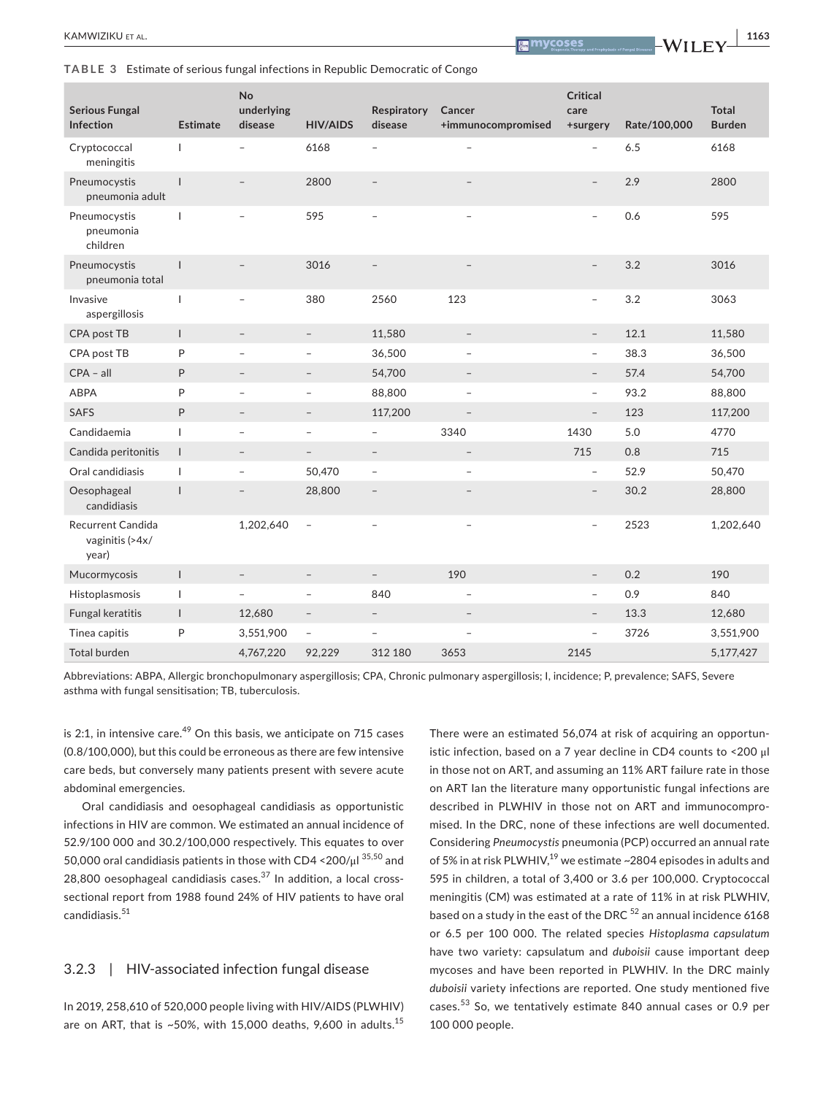**TABLE 3** Estimate of serious fungal infections in Republic Democratic of Congo

| <b>Serious Fungal</b><br>Infection            | <b>Estimate</b> | No<br>underlying<br>disease | <b>HIV/AIDS</b>          | Respiratory<br>disease   | Cancer<br>+immunocompromised | <b>Critical</b><br>care<br>+surgery | Rate/100,000 | <b>Total</b><br><b>Burden</b> |
|-----------------------------------------------|-----------------|-----------------------------|--------------------------|--------------------------|------------------------------|-------------------------------------|--------------|-------------------------------|
| Cryptococcal<br>meningitis                    | $\mathbf{I}$    |                             | 6168                     |                          | $\qquad \qquad -$            | $\overline{\phantom{a}}$            | 6.5          | 6168                          |
| Pneumocystis<br>pneumonia adult               | $\mathbf{I}$    |                             | 2800                     | $\overline{\phantom{0}}$ |                              | $\overline{\phantom{0}}$            | 2.9          | 2800                          |
| Pneumocystis<br>pneumonia<br>children         | $\mathbf{I}$    |                             | 595                      |                          |                              | $\overline{\phantom{0}}$            | 0.6          | 595                           |
| Pneumocystis<br>pneumonia total               | $\mathbf{I}$    | $\overline{\phantom{a}}$    | 3016                     |                          |                              | $\overline{\phantom{a}}$            | 3.2          | 3016                          |
| Invasive<br>aspergillosis                     | $\mathbf{I}$    | -                           | 380                      | 2560                     | 123                          | $\overline{\phantom{a}}$            | 3.2          | 3063                          |
| CPA post TB                                   | $\mathbf{I}$    | $\overline{\phantom{a}}$    | $\overline{\phantom{a}}$ | 11,580                   | $\overline{\phantom{a}}$     | $\overline{\phantom{a}}$            | 12.1         | 11,580                        |
| CPA post TB                                   | P               | ۰                           | $\overline{\phantom{0}}$ | 36,500                   | $\overline{a}$               | $\overline{\phantom{a}}$            | 38.3         | 36,500                        |
| $CPA - aII$                                   | P               | $\overline{\phantom{a}}$    | $\overline{\phantom{a}}$ | 54,700                   | $\overline{\phantom{a}}$     | $\overline{\phantom{a}}$            | 57.4         | 54,700                        |
| <b>ABPA</b>                                   | P               | $\overline{\phantom{a}}$    | $\qquad \qquad -$        | 88,800                   | $\overline{\phantom{a}}$     | $\overline{\phantom{a}}$            | 93.2         | 88,800                        |
| <b>SAFS</b>                                   | P               | $\overline{\phantom{a}}$    | $\overline{\phantom{0}}$ | 117,200                  | $\overline{\phantom{0}}$     | $\overline{\phantom{a}}$            | 123          | 117,200                       |
| Candidaemia                                   | T               | $\overline{\phantom{a}}$    | $\qquad \qquad -$        | $\overline{\phantom{a}}$ | 3340                         | 1430                                | 5.0          | 4770                          |
| Candida peritonitis                           | $\mathbf{I}$    | $\overline{\phantom{a}}$    | $\overline{\phantom{0}}$ | $\overline{\phantom{a}}$ | $\overline{\phantom{a}}$     | 715                                 | 0.8          | 715                           |
| Oral candidiasis                              | $\overline{1}$  | $\overline{\phantom{a}}$    | 50,470                   | $\overline{\phantom{a}}$ | $\overline{\phantom{0}}$     | $\overline{\phantom{a}}$            | 52.9         | 50,470                        |
| Oesophageal<br>candidiasis                    | $\overline{1}$  |                             | 28,800                   | $\qquad \qquad -$        |                              | $\overline{\phantom{a}}$            | 30.2         | 28,800                        |
| Recurrent Candida<br>vaginitis (>4x/<br>year) |                 | 1,202,640                   | $\overline{\phantom{a}}$ | $\overline{\phantom{a}}$ | $\overline{\phantom{a}}$     | $\overline{\phantom{a}}$            | 2523         | 1,202,640                     |
| Mucormycosis                                  | $\mathbf{I}$    | $\overline{\phantom{a}}$    | $\overline{\phantom{a}}$ | $\overline{\phantom{a}}$ | 190                          | $\overline{\phantom{a}}$            | 0.2          | 190                           |
| Histoplasmosis                                | $\mathbf{I}$    | $\overline{\phantom{a}}$    | $\overline{\phantom{a}}$ | 840                      | $\overline{\phantom{a}}$     | $\overline{\phantom{a}}$            | 0.9          | 840                           |
| Fungal keratitis                              | $\mathsf{I}$    | 12,680                      | $\overline{\phantom{0}}$ | $\overline{\phantom{a}}$ | $\overline{\phantom{0}}$     | $\overline{\phantom{0}}$            | 13.3         | 12,680                        |
| Tinea capitis                                 | P               | 3,551,900                   | $\overline{\phantom{a}}$ | $\overline{\phantom{a}}$ | $\overline{\phantom{a}}$     | $\qquad \qquad -$                   | 3726         | 3,551,900                     |
| <b>Total burden</b>                           |                 | 4,767,220                   | 92,229                   | 312 180                  | 3653                         | 2145                                |              | 5,177,427                     |

Abbreviations: ABPA, Allergic bronchopulmonary aspergillosis; CPA, Chronic pulmonary aspergillosis; I, incidence; P, prevalence; SAFS, Severe asthma with fungal sensitisation; TB, tuberculosis.

is 2:1, in intensive care.<sup>49</sup> On this basis, we anticipate on 715 cases (0.8/100,000), but this could be erroneous as there are few intensive care beds, but conversely many patients present with severe acute abdominal emergencies.

Oral candidiasis and oesophageal candidiasis as opportunistic infections in HIV are common. We estimated an annual incidence of 52.9/100 000 and 30.2/100,000 respectively. This equates to over 50,000 oral candidiasis patients in those with CD4  $\textless{}200/\mu$ l  $\text{^{35,50}}$  and 28,800 oesophageal candidiasis cases. $37$  In addition, a local crosssectional report from 1988 found 24% of HIV patients to have oral candidiasis.<sup>51</sup>

# 3.2.3 | HIV-associated infection fungal disease

In 2019, 258,610 of 520,000 people living with HIV/AIDS (PLWHIV) are on ART, that is ~50%, with 15,000 deaths, 9,600 in adults.<sup>15</sup>

There were an estimated 56,074 at risk of acquiring an opportunistic infection, based on a 7 year decline in CD4 counts to <200 μl in those not on ART, and assuming an 11% ART failure rate in those on ART Ian the literature many opportunistic fungal infections are described in PLWHIV in those not on ART and immunocompromised. In the DRC, none of these infections are well documented. Considering *Pneumocystis* pneumonia (PCP) occurred an annual rate of 5% in at risk PLWHIV,<sup>19</sup> we estimate ~2804 episodes in adults and 595 in children, a total of 3,400 or 3.6 per 100,000. Cryptococcal meningitis (CM) was estimated at a rate of 11% in at risk PLWHIV, based on a study in the east of the DRC  $52$  an annual incidence 6168 or 6.5 per 100 000. The related species *Histoplasma capsulatum* have two variety: capsulatum and *duboisii* cause important deep mycoses and have been reported in PLWHIV. In the DRC mainly *duboisii* variety infections are reported. One study mentioned five cases.53 So, we tentatively estimate 840 annual cases or 0.9 per 100 000 people.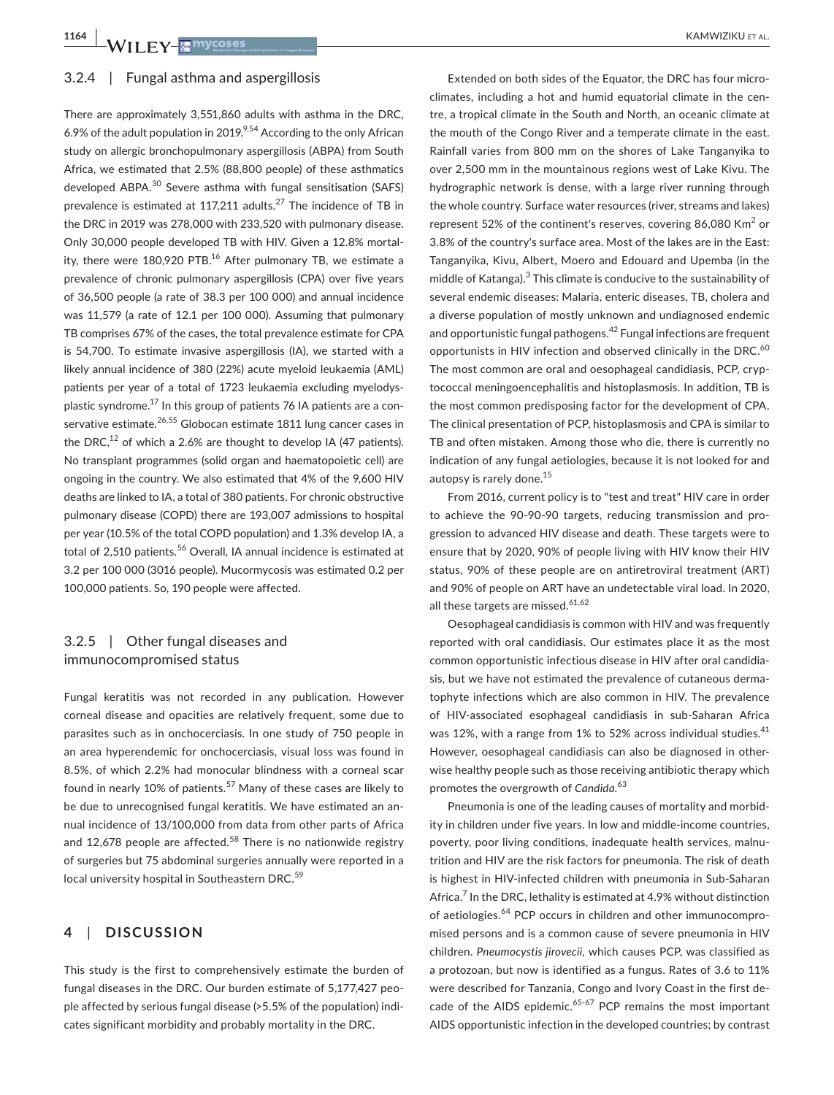### 3.2.4 | Fungal asthma and aspergillosis

There are approximately 3,551,860 adults with asthma in the DRC, 6.9% of the adult population in 2019.<sup>9,54</sup> According to the only African study on allergic bronchopulmonary aspergillosis (ABPA) from South Africa, we estimated that 2.5% (88,800 people) of these asthmatics developed ABPA.<sup>30</sup> Severe asthma with fungal sensitisation (SAFS) prevalence is estimated at 117,211 adults.<sup>27</sup> The incidence of TB in the DRC in 2019 was 278,000 with 233,520 with pulmonary disease. Only 30,000 people developed TB with HIV. Given a 12.8% mortality, there were 180,920 PTB.<sup>16</sup> After pulmonary TB, we estimate a prevalence of chronic pulmonary aspergillosis (CPA) over five years of 36,500 people (a rate of 38.3 per 100 000) and annual incidence was 11,579 (a rate of 12.1 per 100 000). Assuming that pulmonary TB comprises 67% of the cases, the total prevalence estimate for CPA is 54,700. To estimate invasive aspergillosis (IA), we started with a likely annual incidence of 380 (22%) acute myeloid leukaemia (AML) patients per year of a total of 1723 leukaemia excluding myelodysplastic syndrome. $^{17}$  In this group of patients 76 IA patients are a conservative estimate.<sup>26,55</sup> Globocan estimate 1811 lung cancer cases in the DRC, $^{12}$  of which a 2.6% are thought to develop IA (47 patients). No transplant programmes (solid organ and haematopoietic cell) are ongoing in the country. We also estimated that 4% of the 9,600 HIV deaths are linked to IA, a total of 380 patients. For chronic obstructive pulmonary disease (COPD) there are 193,007 admissions to hospital per year (10.5% of the total COPD population) and 1.3% develop IA, a total of 2.510 patients.<sup>56</sup> Overall, IA annual incidence is estimated at 3.2 per 100 000 (3016 people). Mucormycosis was estimated 0.2 per 100,000 patients. So, 190 people were affected.

# 3.2.5 | Other fungal diseases and immunocompromised status

Fungal keratitis was not recorded in any publication. However corneal disease and opacities are relatively frequent, some due to parasites such as in onchocerciasis. In one study of 750 people in an area hyperendemic for onchocerciasis, visual loss was found in 8.5%, of which 2.2% had monocular blindness with a corneal scar found in nearly 10% of patients.<sup>57</sup> Many of these cases are likely to be due to unrecognised fungal keratitis. We have estimated an annual incidence of 13/100,000 from data from other parts of Africa and 12,678 people are affected.<sup>58</sup> There is no nationwide registry of surgeries but 75 abdominal surgeries annually were reported in a local university hospital in Southeastern DRC.<sup>59</sup>

# **4**  | **DISCUSSION**

This study is the first to comprehensively estimate the burden of fungal diseases in the DRC. Our burden estimate of 5,177,427 people affected by serious fungal disease (>5.5% of the population) indicates significant morbidity and probably mortality in the DRC.

Extended on both sides of the Equator, the DRC has four microclimates, including a hot and humid equatorial climate in the centre, a tropical climate in the South and North, an oceanic climate at the mouth of the Congo River and a temperate climate in the east. Rainfall varies from 800 mm on the shores of Lake Tanganyika to over 2,500 mm in the mountainous regions west of Lake Kivu. The hydrographic network is dense, with a large river running through the whole country. Surface water resources (river, streams and lakes) represent 52% of the continent's reserves, covering 86,080 Km<sup>2</sup> or 3.8% of the country's surface area. Most of the lakes are in the East: Tanganyika, Kivu, Albert, Moero and Edouard and Upemba (in the middle of Katanga).<sup>3</sup> This climate is conducive to the sustainability of several endemic diseases: Malaria, enteric diseases, TB, cholera and a diverse population of mostly unknown and undiagnosed endemic and opportunistic fungal pathogens.<sup>42</sup> Fungal infections are frequent opportunists in HIV infection and observed clinically in the DRC.<sup>60</sup> The most common are oral and oesophageal candidiasis, PCP, cryptococcal meningoencephalitis and histoplasmosis. In addition, TB is the most common predisposing factor for the development of CPA. The clinical presentation of PCP, histoplasmosis and CPA is similar to TB and often mistaken. Among those who die, there is currently no indication of any fungal aetiologies, because it is not looked for and autopsy is rarely done.15

From 2016, current policy is to "test and treat" HIV care in order to achieve the 90-90-90 targets, reducing transmission and progression to advanced HIV disease and death. These targets were to ensure that by 2020, 90% of people living with HIV know their HIV status, 90% of these people are on antiretroviral treatment (ART) and 90% of people on ART have an undetectable viral load. In 2020, all these targets are missed. $61,62$ 

Oesophageal candidiasis is common with HIV and was frequently reported with oral candidiasis. Our estimates place it as the most common opportunistic infectious disease in HIV after oral candidiasis, but we have not estimated the prevalence of cutaneous dermatophyte infections which are also common in HIV. The prevalence of HIV-associated esophageal candidiasis in sub-Saharan Africa was 12%, with a range from 1% to 52% across individual studies.<sup>41</sup> However, oesophageal candidiasis can also be diagnosed in otherwise healthy people such as those receiving antibiotic therapy which promotes the overgrowth of *Candida*. 63

Pneumonia is one of the leading causes of mortality and morbidity in children under five years. In low and middle-income countries, poverty, poor living conditions, inadequate health services, malnutrition and HIV are the risk factors for pneumonia. The risk of death is highest in HIV-infected children with pneumonia in Sub-Saharan Africa.<sup>7</sup> In the DRC, lethality is estimated at 4.9% without distinction of aetiologies.64 PCP occurs in children and other immunocompromised persons and is a common cause of severe pneumonia in HIV children. *Pneumocystis jirovecii*, which causes PCP, was classified as a protozoan, but now is identified as a fungus. Rates of 3.6 to 11% were described for Tanzania, Congo and Ivory Coast in the first decade of the AIDS epidemic. $65-67$  PCP remains the most important AIDS opportunistic infection in the developed countries; by contrast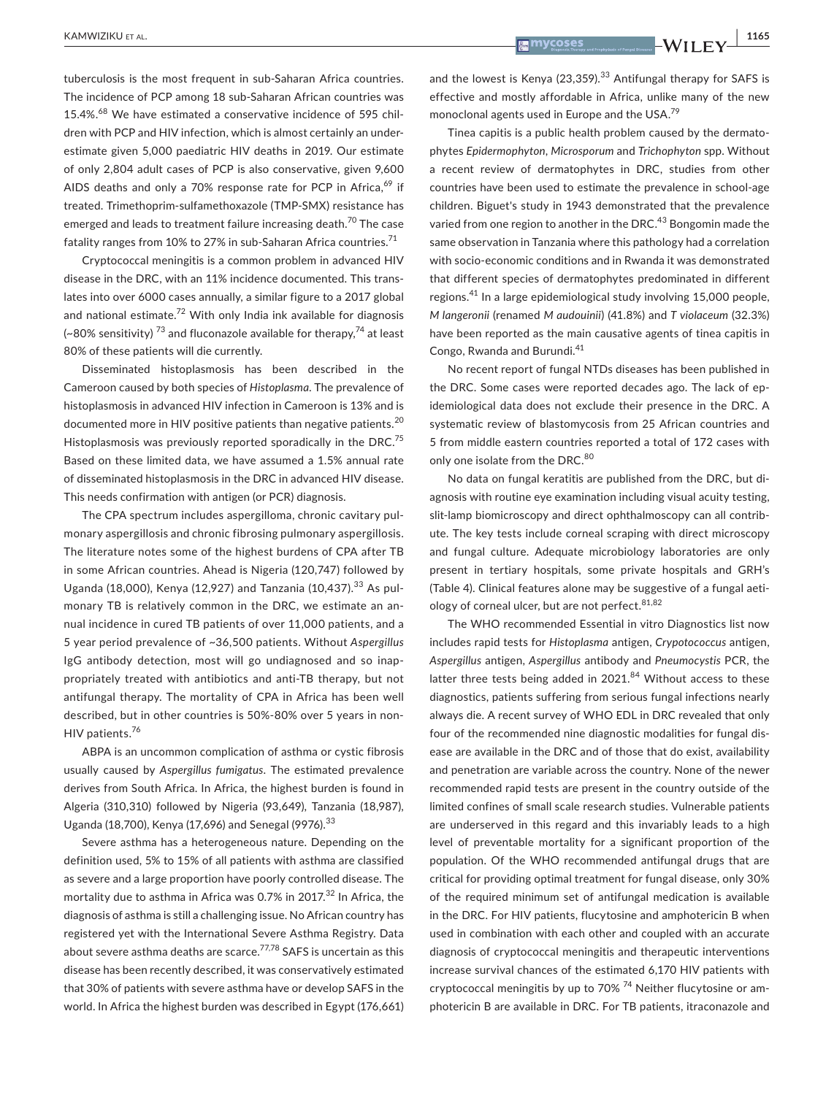tuberculosis is the most frequent in sub-Saharan Africa countries. The incidence of PCP among 18 sub-Saharan African countries was 15.4%.<sup>68</sup> We have estimated a conservative incidence of 595 children with PCP and HIV infection, which is almost certainly an underestimate given 5,000 paediatric HIV deaths in 2019. Our estimate of only 2,804 adult cases of PCP is also conservative, given 9,600 AIDS deaths and only a 70% response rate for PCP in Africa,<sup>69</sup> if treated. Trimethoprim-sulfamethoxazole (TMP-SMX) resistance has emerged and leads to treatment failure increasing death.<sup>70</sup> The case fatality ranges from 10% to 27% in sub-Saharan Africa countries.<sup>71</sup>

Cryptococcal meningitis is a common problem in advanced HIV disease in the DRC, with an 11% incidence documented. This translates into over 6000 cases annually, a similar figure to a 2017 global and national estimate.<sup>72</sup> With only India ink available for diagnosis (~80% sensitivity)<sup>73</sup> and fluconazole available for therapy,<sup>74</sup> at least 80% of these patients will die currently.

Disseminated histoplasmosis has been described in the Cameroon caused by both species of *Histoplasma*. The prevalence of histoplasmosis in advanced HIV infection in Cameroon is 13% and is documented more in HIV positive patients than negative patients.<sup>20</sup> Histoplasmosis was previously reported sporadically in the DRC.<sup>75</sup> Based on these limited data, we have assumed a 1.5% annual rate of disseminated histoplasmosis in the DRC in advanced HIV disease. This needs confirmation with antigen (or PCR) diagnosis.

The CPA spectrum includes aspergilloma, chronic cavitary pulmonary aspergillosis and chronic fibrosing pulmonary aspergillosis. The literature notes some of the highest burdens of CPA after TB in some African countries. Ahead is Nigeria (120,747) followed by Uganda (18,000), Kenya (12,927) and Tanzania (10,437).<sup>33</sup> As pulmonary TB is relatively common in the DRC, we estimate an annual incidence in cured TB patients of over 11,000 patients, and a 5 year period prevalence of ~36,500 patients. Without *Aspergillus* IgG antibody detection, most will go undiagnosed and so inappropriately treated with antibiotics and anti-TB therapy, but not antifungal therapy. The mortality of CPA in Africa has been well described, but in other countries is 50%-80% over 5 years in non-HIV patients.<sup>76</sup>

ABPA is an uncommon complication of asthma or cystic fibrosis usually caused by *Aspergillus fumigatus*. The estimated prevalence derives from South Africa. In Africa, the highest burden is found in Algeria (310,310) followed by Nigeria (93,649), Tanzania (18,987), Uganda (18,700), Kenya (17,696) and Senegal (9976).<sup>33</sup>

Severe asthma has a heterogeneous nature. Depending on the definition used, 5% to 15% of all patients with asthma are classified as severe and a large proportion have poorly controlled disease. The mortality due to asthma in Africa was 0.7% in 2017. $32$  In Africa, the diagnosis of asthma is still a challenging issue. No African country has registered yet with the International Severe Asthma Registry. Data about severe asthma deaths are scarce.<sup>77,78</sup> SAFS is uncertain as this disease has been recently described, it was conservatively estimated that 30% of patients with severe asthma have or develop SAFS in the world. In Africa the highest burden was described in Egypt (176,661)

and the lowest is Kenya (23,359). $33$  Antifungal therapy for SAFS is effective and mostly affordable in Africa, unlike many of the new monoclonal agents used in Europe and the USA.79

Tinea capitis is a public health problem caused by the dermatophytes *Epidermophyton*, *Microsporum* and *Trichophyton* spp. Without a recent review of dermatophytes in DRC, studies from other countries have been used to estimate the prevalence in school-age children. Biguet's study in 1943 demonstrated that the prevalence varied from one region to another in the DRC.<sup>43</sup> Bongomin made the same observation in Tanzania where this pathology had a correlation with socio-economic conditions and in Rwanda it was demonstrated that different species of dermatophytes predominated in different regions.41 In a large epidemiological study involving 15,000 people, *M langeronii* (renamed *M audouinii*) (41.8%) and *T violaceum* (32.3%) have been reported as the main causative agents of tinea capitis in Congo, Rwanda and Burundi.<sup>41</sup>

No recent report of fungal NTDs diseases has been published in the DRC. Some cases were reported decades ago. The lack of epidemiological data does not exclude their presence in the DRC. A systematic review of blastomycosis from 25 African countries and 5 from middle eastern countries reported a total of 172 cases with only one isolate from the DRC.<sup>80</sup>

No data on fungal keratitis are published from the DRC, but diagnosis with routine eye examination including visual acuity testing, slit-lamp biomicroscopy and direct ophthalmoscopy can all contribute. The key tests include corneal scraping with direct microscopy and fungal culture. Adequate microbiology laboratories are only present in tertiary hospitals, some private hospitals and GRH's (Table 4). Clinical features alone may be suggestive of a fungal aetiology of corneal ulcer, but are not perfect.  $81,82$ 

The WHO recommended Essential in vitro Diagnostics list now includes rapid tests for *Histoplasma* antigen, *Crypotococcus* antigen, *Aspergillus* antigen, *Aspergillus* antibody and *Pneumocystis* PCR, the latter three tests being added in  $2021$ .<sup>84</sup> Without access to these diagnostics, patients suffering from serious fungal infections nearly always die. A recent survey of WHO EDL in DRC revealed that only four of the recommended nine diagnostic modalities for fungal disease are available in the DRC and of those that do exist, availability and penetration are variable across the country. None of the newer recommended rapid tests are present in the country outside of the limited confines of small scale research studies. Vulnerable patients are underserved in this regard and this invariably leads to a high level of preventable mortality for a significant proportion of the population. Of the WHO recommended antifungal drugs that are critical for providing optimal treatment for fungal disease, only 30% of the required minimum set of antifungal medication is available in the DRC. For HIV patients, flucytosine and amphotericin B when used in combination with each other and coupled with an accurate diagnosis of cryptococcal meningitis and therapeutic interventions increase survival chances of the estimated 6,170 HIV patients with cryptococcal meningitis by up to  $70\%$ <sup>74</sup> Neither flucytosine or amphotericin B are available in DRC. For TB patients, itraconazole and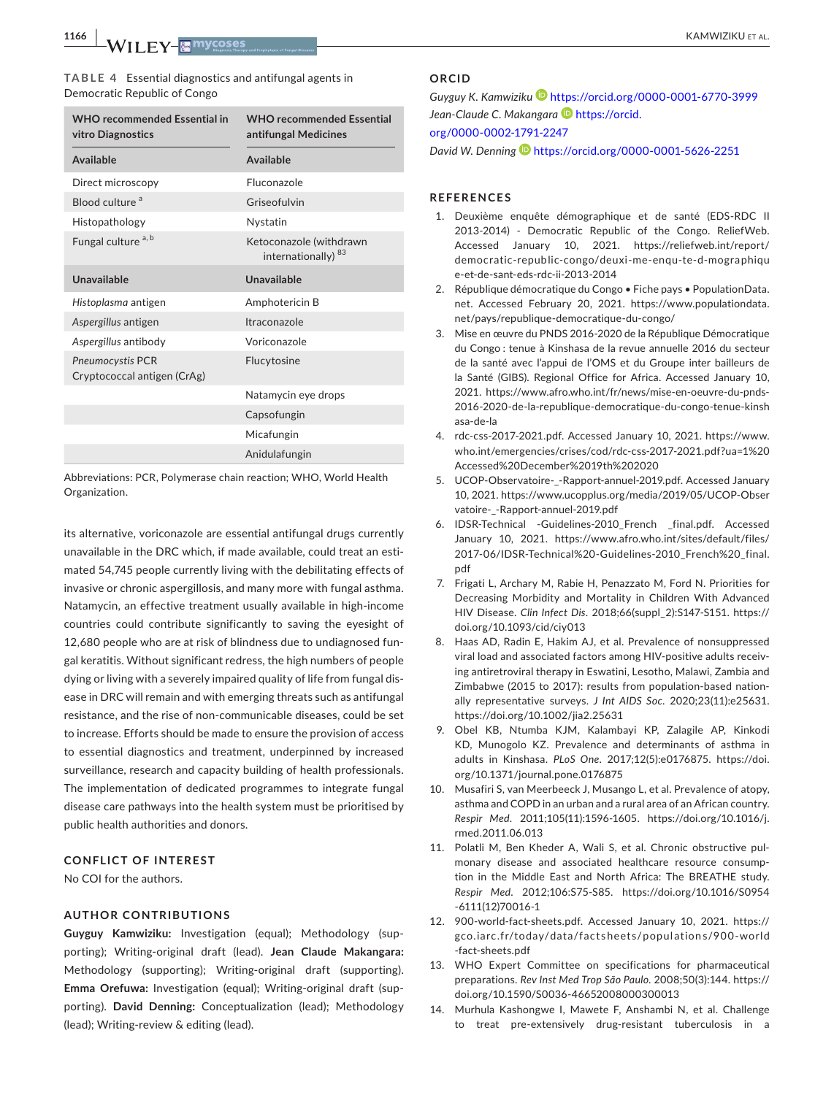**1166 <sup>|</sup>**  KAMWIZIKU et al.

**TABLE 4** Essential diagnostics and antifungal agents in Democratic Republic of Congo

| <b>WHO recommended Essential in</b><br>vitro Diagnostics | <b>WHO recommended Essential</b><br>antifungal Medicines  |
|----------------------------------------------------------|-----------------------------------------------------------|
| <b>Available</b>                                         | <b>Available</b>                                          |
| Direct microscopy                                        | Fluconazole                                               |
| Blood culture <sup>a</sup>                               | Griseofulvin                                              |
| Histopathology                                           | Nystatin                                                  |
| Fungal culture <sup>a, b</sup>                           | Ketoconazole (withdrawn<br>internationally) <sup>83</sup> |
| Unavailable                                              | Unavailable                                               |
| Histoplasma antigen                                      | Amphotericin B                                            |
| Aspergillus antigen                                      | Itraconazole                                              |
| Aspergillus antibody                                     | Voriconazole                                              |
| Pneumocystis PCR<br>Cryptococcal antigen (CrAg)          | Flucytosine                                               |
|                                                          | Natamycin eye drops                                       |
|                                                          | Capsofungin                                               |
|                                                          | Micafungin                                                |
|                                                          | Anidulafungin                                             |

Abbreviations: PCR, Polymerase chain reaction; WHO, World Health Organization.

its alternative, voriconazole are essential antifungal drugs currently unavailable in the DRC which, if made available, could treat an estimated 54,745 people currently living with the debilitating effects of invasive or chronic aspergillosis, and many more with fungal asthma. Natamycin, an effective treatment usually available in high-income countries could contribute significantly to saving the eyesight of 12,680 people who are at risk of blindness due to undiagnosed fungal keratitis. Without significant redress, the high numbers of people dying or living with a severely impaired quality of life from fungal disease in DRC will remain and with emerging threats such as antifungal resistance, and the rise of non-communicable diseases, could be set to increase. Efforts should be made to ensure the provision of access to essential diagnostics and treatment, underpinned by increased surveillance, research and capacity building of health professionals. The implementation of dedicated programmes to integrate fungal disease care pathways into the health system must be prioritised by public health authorities and donors.

### **CONFLICT OF INTEREST**

No COI for the authors.

### **AUTHOR CONTRIBUTIONS**

**Guyguy Kamwiziku:** Investigation (equal); Methodology (supporting); Writing-original draft (lead). **Jean Claude Makangara:** Methodology (supporting); Writing-original draft (supporting). **Emma Orefuwa:** Investigation (equal); Writing-original draft (supporting). **David Denning:** Conceptualization (lead); Methodology (lead); Writing-review & editing (lead).

### **ORCID**

*Guyguy K. Kamwizik[u](https://orcid.org/0000-0001-6770-3999)* <https://orcid.org/0000-0001-6770-3999> Jean-Claude C. Makangara<sup>D</sup> [https://orcid.](https://orcid.org/0000-0002-1791-2247)

[org/0000-0002-1791-2247](https://orcid.org/0000-0002-1791-2247)

*David W. Denning* <https://orcid.org/0000-0001-5626-2251>

### **REFERENCES**

- 1. Deuxième enquête démographique et de santé (EDS-RDC II 2013-2014) - Democratic Republic of the Congo. ReliefWeb. Accessed January 10, 2021. [https://reliefweb.int/report/](https://reliefweb.int/report/democratic-republic-congo/deuxi-me-enqu-te-d-mographique-et-de-sant-eds-rdc-ii-2013-2014) [democratic-republic-congo/deuxi-me-enqu-te-d-mographiqu](https://reliefweb.int/report/democratic-republic-congo/deuxi-me-enqu-te-d-mographique-et-de-sant-eds-rdc-ii-2013-2014) [e-et-de-sant-eds-rdc-ii-2013-2014](https://reliefweb.int/report/democratic-republic-congo/deuxi-me-enqu-te-d-mographique-et-de-sant-eds-rdc-ii-2013-2014)
- 2. République démocratique du Congo Fiche pays PopulationData. net. Accessed February 20, 2021. [https://www.populationdata.](https://www.populationdata.net/pays/republique-democratique-du-congo/) [net/pays/republique-democratique-du-congo/](https://www.populationdata.net/pays/republique-democratique-du-congo/)
- 3. Mise en œuvre du PNDS 2016-2020 de la République Démocratique du Congo : tenue à Kinshasa de la revue annuelle 2016 du secteur de la santé avec l'appui de l'OMS et du Groupe inter bailleurs de la Santé (GIBS). Regional Office for Africa. Accessed January 10, 2021. [https://www.afro.who.int/fr/news/mise-en-oeuvre-du-pnds-](https://www.afro.who.int/fr/news/mise-en-oeuvre-du-pnds-2016-2020-de-la-republique-democratique-du-congo-tenue-kinshasa-de-la)[2016-2020-de-la-republique-democratique-du-congo-tenue-kinsh](https://www.afro.who.int/fr/news/mise-en-oeuvre-du-pnds-2016-2020-de-la-republique-democratique-du-congo-tenue-kinshasa-de-la) [asa-de-la](https://www.afro.who.int/fr/news/mise-en-oeuvre-du-pnds-2016-2020-de-la-republique-democratique-du-congo-tenue-kinshasa-de-la)
- 4. rdc-css-2017-2021.pdf. Accessed January 10, 2021. [https://www.](https://www.who.int/emergencies/crises/cod/rdc-css-2017-2021.pdf?ua=1 Accessed December 19th 2020) [who.int/emergencies/crises/cod/rdc-css-2017-2021.pdf?ua=1%20](https://www.who.int/emergencies/crises/cod/rdc-css-2017-2021.pdf?ua=1 Accessed December 19th 2020) [Accessed%20December%2019th%202020](https://www.who.int/emergencies/crises/cod/rdc-css-2017-2021.pdf?ua=1 Accessed December 19th 2020)
- 5. UCOP-Observatoire-\_-Rapport-annuel-2019.pdf. Accessed January 10, 2021. [https://www.ucopplus.org/media/2019/05/UCOP-Obser](https://www.ucopplus.org/media/2019/05/UCOP-Observatoire-_-Rapport-annuel-2019.pdf) [vatoire-\\_-Rapport-annuel-2019.pdf](https://www.ucopplus.org/media/2019/05/UCOP-Observatoire-_-Rapport-annuel-2019.pdf)
- 6. IDSR-Technical -Guidelines-2010\_French \_final.pdf. Accessed January 10, 2021. [https://www.afro.who.int/sites/default/files/](https://www.afro.who.int/sites/default/files/2017-06/IDSR-Technical -Guidelines-2010_French _final.pdf) [2017-06/IDSR-Technical%20-Guidelines-2010\\_French%20\\_final.](https://www.afro.who.int/sites/default/files/2017-06/IDSR-Technical -Guidelines-2010_French _final.pdf) [pdf](https://www.afro.who.int/sites/default/files/2017-06/IDSR-Technical -Guidelines-2010_French _final.pdf)
- 7. Frigati L, Archary M, Rabie H, Penazzato M, Ford N. Priorities for Decreasing Morbidity and Mortality in Children With Advanced HIV Disease. *Clin Infect Dis*. 2018;66(suppl\_2):S147-S151. [https://](https://doi.org/10.1093/cid/ciy013) [doi.org/10.1093/cid/ciy013](https://doi.org/10.1093/cid/ciy013)
- 8. Haas AD, Radin E, Hakim AJ, et al. Prevalence of nonsuppressed viral load and associated factors among HIV-positive adults receiving antiretroviral therapy in Eswatini, Lesotho, Malawi, Zambia and Zimbabwe (2015 to 2017): results from population-based nationally representative surveys. *J Int AIDS Soc*. 2020;23(11):e25631. <https://doi.org/10.1002/jia2.25631>
- 9. Obel KB, Ntumba KJM, Kalambayi KP, Zalagile AP, Kinkodi KD, Munogolo KZ. Prevalence and determinants of asthma in adults in Kinshasa. *PLoS One*. 2017;12(5):e0176875. [https://doi.](https://doi.org/10.1371/journal.pone.0176875) [org/10.1371/journal.pone.0176875](https://doi.org/10.1371/journal.pone.0176875)
- 10. Musafiri S, van Meerbeeck J, Musango L, et al. Prevalence of atopy, asthma and COPD in an urban and a rural area of an African country. *Respir Med*. 2011;105(11):1596-1605. [https://doi.org/10.1016/j.](https://doi.org/10.1016/j.rmed.2011.06.013) [rmed.2011.06.013](https://doi.org/10.1016/j.rmed.2011.06.013)
- 11. Polatli M, Ben Kheder A, Wali S, et al. Chronic obstructive pulmonary disease and associated healthcare resource consumption in the Middle East and North Africa: The BREATHE study. *Respir Med*. 2012;106:S75-S85. [https://doi.org/10.1016/S0954](https://doi.org/10.1016/S0954-6111(12)70016-1) [-6111\(12\)70016-1](https://doi.org/10.1016/S0954-6111(12)70016-1)
- 12. 900-world-fact-sheets.pdf. Accessed January 10, 2021. [https://](https://gco.iarc.fr/today/data/factsheets/populations/900-world-fact-sheets.pdf) [gco.iarc.fr/today/data/facts](https://gco.iarc.fr/today/data/factsheets/populations/900-world-fact-sheets.pdf) heets/popul ation s/900-world [-fact-sheets.pdf](https://gco.iarc.fr/today/data/factsheets/populations/900-world-fact-sheets.pdf)
- 13. WHO Expert Committee on specifications for pharmaceutical preparations. *Rev Inst Med Trop São Paulo*. 2008;50(3):144. [https://](https://doi.org/10.1590/S0036-46652008000300013) [doi.org/10.1590/S0036-46652008000300013](https://doi.org/10.1590/S0036-46652008000300013)
- 14. Murhula Kashongwe I, Mawete F, Anshambi N, et al. Challenge to treat pre-extensively drug-resistant tuberculosis in a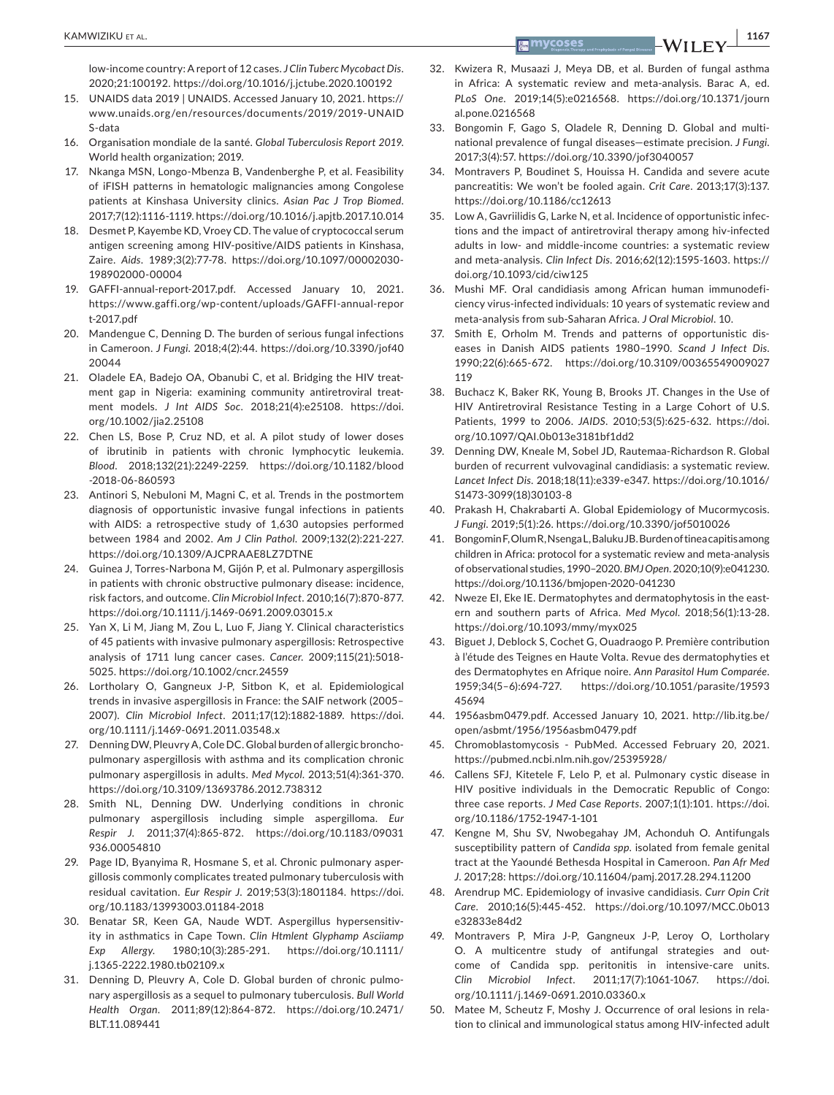low-income country: A report of 12 cases. *J Clin Tuberc Mycobact Dis*. 2020;21:100192. <https://doi.org/10.1016/j.jctube.2020.100192>

- 15. UNAIDS data 2019 | UNAIDS. Accessed January 10, 2021. [https://](https://www.unaids.org/en/resources/documents/2019/2019-UNAIDS-data) [www.unaids.org/en/resources/documents/2019/2019-UNAID](https://www.unaids.org/en/resources/documents/2019/2019-UNAIDS-data) [S-data](https://www.unaids.org/en/resources/documents/2019/2019-UNAIDS-data)
- 16. Organisation mondiale de la santé. *Global Tuberculosis Report 2019*. World health organization; 2019.
- 17. Nkanga MSN, Longo-Mbenza B, Vandenberghe P, et al. Feasibility of iFISH patterns in hematologic malignancies among Congolese patients at Kinshasa University clinics. *Asian Pac J Trop Biomed*. 2017;7(12):1116-1119.<https://doi.org/10.1016/j.apjtb.2017.10.014>
- 18. Desmet P, Kayembe KD, Vroey CD. The value of cryptococcal serum antigen screening among HIV-positive/AIDS patients in Kinshasa, Zaire. *Aids*. 1989;3(2):77-78. [https://doi.org/10.1097/00002030-](https://doi.org/10.1097/00002030-198902000-00004) [198902000-00004](https://doi.org/10.1097/00002030-198902000-00004)
- 19. GAFFI-annual-report-2017.pdf. Accessed January 10, 2021. [https://www.gaffi.org/wp-content/uploads/GAFFI-annual-repor](https://www.gaffi.org/wp-content/uploads/GAFFI-annual-report-2017.pdf) [t-2017.pdf](https://www.gaffi.org/wp-content/uploads/GAFFI-annual-report-2017.pdf)
- 20. Mandengue C, Denning D. The burden of serious fungal infections in Cameroon. *J Fungi*. 2018;4(2):44. [https://doi.org/10.3390/jof40](https://doi.org/10.3390/jof4020044) [20044](https://doi.org/10.3390/jof4020044)
- 21. Oladele EA, Badejo OA, Obanubi C, et al. Bridging the HIV treatment gap in Nigeria: examining community antiretroviral treatment models. *J Int AIDS Soc*. 2018;21(4):e25108. [https://doi.](https://doi.org/10.1002/jia2.25108) [org/10.1002/jia2.25108](https://doi.org/10.1002/jia2.25108)
- 22. Chen LS, Bose P, Cruz ND, et al. A pilot study of lower doses of ibrutinib in patients with chronic lymphocytic leukemia. *Blood*. 2018;132(21):2249-2259. [https://doi.org/10.1182/blood](https://doi.org/10.1182/blood-2018-06-860593) [-2018-06-860593](https://doi.org/10.1182/blood-2018-06-860593)
- 23. Antinori S, Nebuloni M, Magni C, et al. Trends in the postmortem diagnosis of opportunistic invasive fungal infections in patients with AIDS: a retrospective study of 1,630 autopsies performed between 1984 and 2002. *Am J Clin Pathol*. 2009;132(2):221-227. <https://doi.org/10.1309/AJCPRAAE8LZ7DTNE>
- 24. Guinea J, Torres-Narbona M, Gijón P, et al. Pulmonary aspergillosis in patients with chronic obstructive pulmonary disease: incidence, risk factors, and outcome. *Clin Microbiol Infect*. 2010;16(7):870-877. <https://doi.org/10.1111/j.1469-0691.2009.03015.x>
- 25. Yan X, Li M, Jiang M, Zou L, Luo F, Jiang Y. Clinical characteristics of 45 patients with invasive pulmonary aspergillosis: Retrospective analysis of 1711 lung cancer cases. *Cancer*. 2009;115(21):5018- 5025.<https://doi.org/10.1002/cncr.24559>
- 26. Lortholary O, Gangneux J-P, Sitbon K, et al. Epidemiological trends in invasive aspergillosis in France: the SAIF network (2005– 2007). *Clin Microbiol Infect*. 2011;17(12):1882-1889. [https://doi.](https://doi.org/10.1111/j.1469-0691.2011.03548.x) [org/10.1111/j.1469-0691.2011.03548.x](https://doi.org/10.1111/j.1469-0691.2011.03548.x)
- 27. Denning DW, Pleuvry A, Cole DC. Global burden of allergic bronchopulmonary aspergillosis with asthma and its complication chronic pulmonary aspergillosis in adults. *Med Mycol*. 2013;51(4):361-370. <https://doi.org/10.3109/13693786.2012.738312>
- 28. Smith NL, Denning DW. Underlying conditions in chronic pulmonary aspergillosis including simple aspergilloma. *Eur Respir J*. 2011;37(4):865-872. [https://doi.org/10.1183/09031](https://doi.org/10.1183/09031936.00054810) [936.00054810](https://doi.org/10.1183/09031936.00054810)
- 29. Page ID, Byanyima R, Hosmane S, et al. Chronic pulmonary aspergillosis commonly complicates treated pulmonary tuberculosis with residual cavitation. *Eur Respir J*. 2019;53(3):1801184. [https://doi.](https://doi.org/10.1183/13993003.01184-2018) [org/10.1183/13993003.01184-2018](https://doi.org/10.1183/13993003.01184-2018)
- 30. Benatar SR, Keen GA, Naude WDT. Aspergillus hypersensitivity in asthmatics in Cape Town. *Clin Htmlent Glyphamp Asciiamp Exp Allergy*. 1980;10(3):285-291. [https://doi.org/10.1111/](https://doi.org/10.1111/j.1365-2222.1980.tb02109.x) [j.1365-2222.1980.tb02109.x](https://doi.org/10.1111/j.1365-2222.1980.tb02109.x)
- 31. Denning D, Pleuvry A, Cole D. Global burden of chronic pulmonary aspergillosis as a sequel to pulmonary tuberculosis. *Bull World Health Organ*. 2011;89(12):864-872. [https://doi.org/10.2471/](https://doi.org/10.2471/BLT.11.089441) [BLT.11.089441](https://doi.org/10.2471/BLT.11.089441)
- 32. Kwizera R, Musaazi J, Meya DB, et al. Burden of fungal asthma in Africa: A systematic review and meta-analysis. Barac A, ed. *PLoS One*. 2019;14(5):e0216568. [https://doi.org/10.1371/journ](https://doi.org/10.1371/journal.pone.0216568) [al.pone.0216568](https://doi.org/10.1371/journal.pone.0216568)
- 33. Bongomin F, Gago S, Oladele R, Denning D. Global and multinational prevalence of fungal diseases—estimate precision. *J Fungi*. 2017;3(4):57. <https://doi.org/10.3390/jof3040057>
- 34. Montravers P, Boudinet S, Houissa H. Candida and severe acute pancreatitis: We won't be fooled again. *Crit Care*. 2013;17(3):137. <https://doi.org/10.1186/cc12613>
- 35. Low A, Gavriilidis G, Larke N, et al. Incidence of opportunistic infections and the impact of antiretroviral therapy among hiv-infected adults in low- and middle-income countries: a systematic review and meta-analysis. *Clin Infect Dis*. 2016;62(12):1595-1603. [https://](https://doi.org/10.1093/cid/ciw125) [doi.org/10.1093/cid/ciw125](https://doi.org/10.1093/cid/ciw125)
- 36. Mushi MF. Oral candidiasis among African human immunodeficiency virus-infected individuals: 10 years of systematic review and meta-analysis from sub-Saharan Africa. *J Oral Microbiol*. 10.
- 37. Smith E, Orholm M. Trends and patterns of opportunistic diseases in Danish AIDS patients 1980–1990. *Scand J Infect Dis*. 1990;22(6):665-672. [https://doi.org/10.3109/00365549009027](https://doi.org/10.3109/00365549009027119) [119](https://doi.org/10.3109/00365549009027119)
- 38. Buchacz K, Baker RK, Young B, Brooks JT. Changes in the Use of HIV Antiretroviral Resistance Testing in a Large Cohort of U.S. Patients, 1999 to 2006. *JAIDS*. 2010;53(5):625-632. [https://doi.](https://doi.org/10.1097/QAI.0b013e3181bf1dd2) [org/10.1097/QAI.0b013e3181bf1dd2](https://doi.org/10.1097/QAI.0b013e3181bf1dd2)
- 39. Denning DW, Kneale M, Sobel JD, Rautemaa-Richardson R. Global burden of recurrent vulvovaginal candidiasis: a systematic review. *Lancet Infect Dis*. 2018;18(11):e339-e347. [https://doi.org/10.1016/](https://doi.org/10.1016/S1473-3099(18)30103-8) [S1473-3099\(18\)30103-8](https://doi.org/10.1016/S1473-3099(18)30103-8)
- 40. Prakash H, Chakrabarti A. Global Epidemiology of Mucormycosis. *J Fungi*. 2019;5(1):26.<https://doi.org/10.3390/jof5010026>
- 41. Bongomin F, Olum R, Nsenga L, Baluku JB. Burden of tinea capitis among children in Africa: protocol for a systematic review and meta-analysis of observational studies, 1990–2020. *BMJ Open*. 2020;10(9):e041230. <https://doi.org/10.1136/bmjopen-2020-041230>
- 42. Nweze EI, Eke IE. Dermatophytes and dermatophytosis in the eastern and southern parts of Africa. *Med Mycol*. 2018;56(1):13-28. <https://doi.org/10.1093/mmy/myx025>
- 43. Biguet J, Deblock S, Cochet G, Ouadraogo P. Première contribution à l'étude des Teignes en Haute Volta. Revue des dermatophyties et des Dermatophytes en Afrique noire. *Ann Parasitol Hum Comparée*. 1959;34(5–6):694-727. [https://doi.org/10.1051/parasite/19593](https://doi.org/10.1051/parasite/1959345694) [45694](https://doi.org/10.1051/parasite/1959345694)
- 44. 1956asbm0479.pdf. Accessed January 10, 2021. [http://lib.itg.be/](http://lib.itg.be/open/asbmt/1956/1956asbm0479.pdf) [open/asbmt/1956/1956asbm0479.pdf](http://lib.itg.be/open/asbmt/1956/1956asbm0479.pdf)
- 45. Chromoblastomycosis PubMed. Accessed February 20, 2021. <https://pubmed.ncbi.nlm.nih.gov/25395928/>
- 46. Callens SFJ, Kitetele F, Lelo P, et al. Pulmonary cystic disease in HIV positive individuals in the Democratic Republic of Congo: three case reports. *J Med Case Reports*. 2007;1(1):101. [https://doi.](https://doi.org/10.1186/1752-1947-1-101) [org/10.1186/1752-1947-1-101](https://doi.org/10.1186/1752-1947-1-101)
- 47. Kengne M, Shu SV, Nwobegahay JM, Achonduh O. Antifungals susceptibility pattern of *Candida spp*. isolated from female genital tract at the Yaoundé Bethesda Hospital in Cameroon. *Pan Afr Med J*. 2017;28:<https://doi.org/10.11604/pamj.2017.28.294.11200>
- 48. Arendrup MC. Epidemiology of invasive candidiasis. *Curr Opin Crit Care*. 2010;16(5):445-452. [https://doi.org/10.1097/MCC.0b013](https://doi.org/10.1097/MCC.0b013e32833e84d2) [e32833e84d2](https://doi.org/10.1097/MCC.0b013e32833e84d2)
- 49. Montravers P, Mira J-P, Gangneux J-P, Leroy O, Lortholary O. A multicentre study of antifungal strategies and outcome of Candida spp. peritonitis in intensive-care units. *Clin Microbiol Infect*. 2011;17(7):1061-1067. [https://doi.](https://doi.org/10.1111/j.1469-0691.2010.03360.x) [org/10.1111/j.1469-0691.2010.03360.x](https://doi.org/10.1111/j.1469-0691.2010.03360.x)
- 50. Matee M, Scheutz F, Moshy J. Occurrence of oral lesions in relation to clinical and immunological status among HIV-infected adult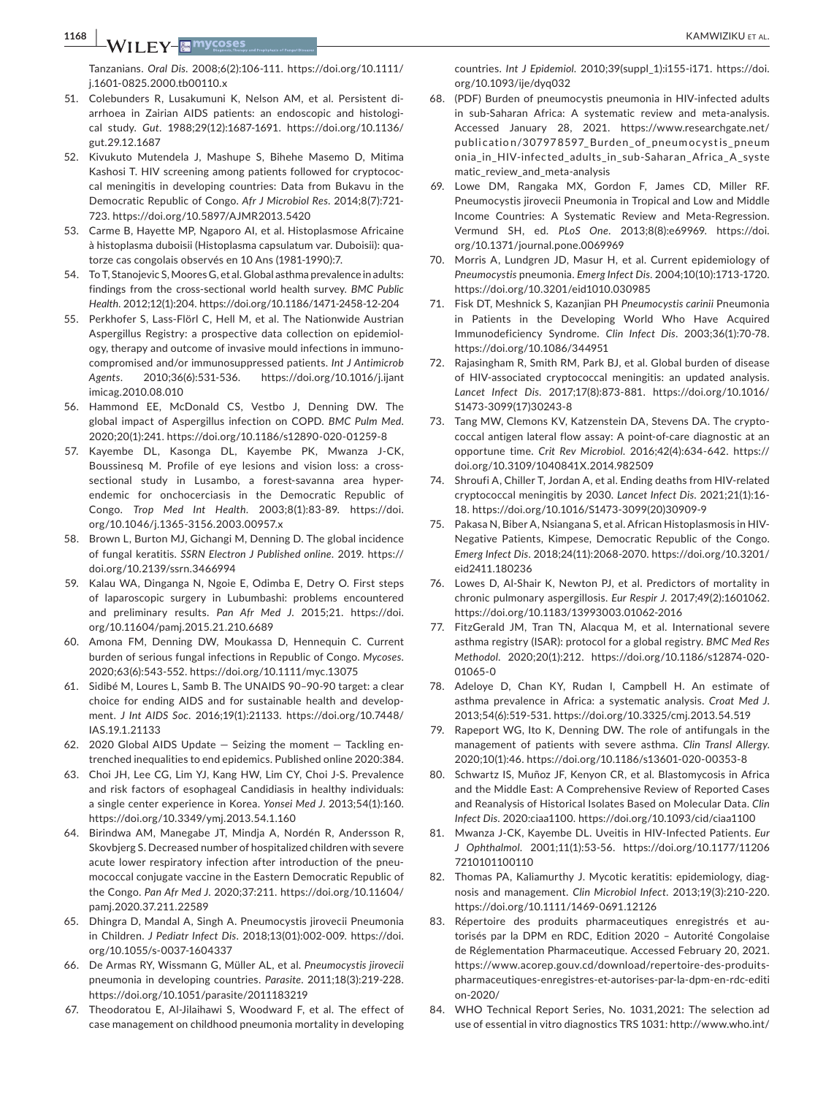**1168 <sup>|</sup>**  KAMWIZIKU et al.

Tanzanians. *Oral Dis*. 2008;6(2):106-111. [https://doi.org/10.1111/](https://doi.org/10.1111/j.1601-0825.2000.tb00110.x) [j.1601-0825.2000.tb00110.x](https://doi.org/10.1111/j.1601-0825.2000.tb00110.x)

- 51. Colebunders R, Lusakumuni K, Nelson AM, et al. Persistent diarrhoea in Zairian AIDS patients: an endoscopic and histological study. *Gut*. 1988;29(12):1687-1691. [https://doi.org/10.1136/](https://doi.org/10.1136/gut.29.12.1687) [gut.29.12.1687](https://doi.org/10.1136/gut.29.12.1687)
- 52. Kivukuto Mutendela J, Mashupe S, Bihehe Masemo D, Mitima Kashosi T. HIV screening among patients followed for cryptococcal meningitis in developing countries: Data from Bukavu in the Democratic Republic of Congo. *Afr J Microbiol Res*. 2014;8(7):721- 723.<https://doi.org/10.5897/AJMR2013.5420>
- 53. Carme B, Hayette MP, Ngaporo AI, et al. Histoplasmose Africaine à histoplasma duboisii (Histoplasma capsulatum var. Duboisii): quatorze cas congolais observés en 10 Ans (1981-1990):7.
- 54. To T, Stanojevic S, Moores G, et al. Global asthma prevalence in adults: findings from the cross-sectional world health survey. *BMC Public Health*. 2012;12(1):204.<https://doi.org/10.1186/1471-2458-12-204>
- 55. Perkhofer S, Lass-Flörl C, Hell M, et al. The Nationwide Austrian Aspergillus Registry: a prospective data collection on epidemiology, therapy and outcome of invasive mould infections in immunocompromised and/or immunosuppressed patients. *Int J Antimicrob Agents*. 2010;36(6):531-536. [https://doi.org/10.1016/j.ijant](https://doi.org/10.1016/j.ijantimicag.2010.08.010) [imicag.2010.08.010](https://doi.org/10.1016/j.ijantimicag.2010.08.010)
- 56. Hammond EE, McDonald CS, Vestbo J, Denning DW. The global impact of Aspergillus infection on COPD. *BMC Pulm Med*. 2020;20(1):241.<https://doi.org/10.1186/s12890-020-01259-8>
- 57. Kayembe DL, Kasonga DL, Kayembe PK, Mwanza J-CK, Boussinesq M. Profile of eye lesions and vision loss: a crosssectional study in Lusambo, a forest-savanna area hyperendemic for onchocerciasis in the Democratic Republic of Congo. *Trop Med Int Health*. 2003;8(1):83-89. [https://doi.](https://doi.org/10.1046/j.1365-3156.2003.00957.x) [org/10.1046/j.1365-3156.2003.00957.x](https://doi.org/10.1046/j.1365-3156.2003.00957.x)
- 58. Brown L, Burton MJ, Gichangi M, Denning D. The global incidence of fungal keratitis. *SSRN Electron J Published online*. 2019. [https://](https://doi.org/10.2139/ssrn.3466994) [doi.org/10.2139/ssrn.3466994](https://doi.org/10.2139/ssrn.3466994)
- 59. Kalau WA, Dinganga N, Ngoie E, Odimba E, Detry O. First steps of laparoscopic surgery in Lubumbashi: problems encountered and preliminary results. *Pan Afr Med J*. 2015;21. [https://doi.](https://doi.org/10.11604/pamj.2015.21.210.6689) [org/10.11604/pamj.2015.21.210.6689](https://doi.org/10.11604/pamj.2015.21.210.6689)
- 60. Amona FM, Denning DW, Moukassa D, Hennequin C. Current burden of serious fungal infections in Republic of Congo. *Mycoses*. 2020;63(6):543-552. <https://doi.org/10.1111/myc.13075>
- 61. Sidibé M, Loures L, Samb B. The UNAIDS 90–90-90 target: a clear choice for ending AIDS and for sustainable health and development. *J Int AIDS Soc*. 2016;19(1):21133. [https://doi.org/10.7448/](https://doi.org/10.7448/IAS.19.1.21133) [IAS.19.1.21133](https://doi.org/10.7448/IAS.19.1.21133)
- 62. 2020 Global AIDS Update Seizing the moment Tackling entrenched inequalities to end epidemics. Published online 2020:384.
- 63. Choi JH, Lee CG, Lim YJ, Kang HW, Lim CY, Choi J-S. Prevalence and risk factors of esophageal Candidiasis in healthy individuals: a single center experience in Korea. *Yonsei Med J*. 2013;54(1):160. <https://doi.org/10.3349/ymj.2013.54.1.160>
- 64. Birindwa AM, Manegabe JT, Mindja A, Nordén R, Andersson R, Skovbjerg S. Decreased number of hospitalized children with severe acute lower respiratory infection after introduction of the pneumococcal conjugate vaccine in the Eastern Democratic Republic of the Congo. *Pan Afr Med J*. 2020;37:211. [https://doi.org/10.11604/](https://doi.org/10.11604/pamj.2020.37.211.22589) [pamj.2020.37.211.22589](https://doi.org/10.11604/pamj.2020.37.211.22589)
- 65. Dhingra D, Mandal A, Singh A. Pneumocystis jirovecii Pneumonia in Children. *J Pediatr Infect Dis*. 2018;13(01):002-009. [https://doi.](https://doi.org/10.1055/s-0037-1604337) [org/10.1055/s-0037-1604337](https://doi.org/10.1055/s-0037-1604337)
- 66. De Armas RY, Wissmann G, Müller AL, et al. *Pneumocystis jirovecii* pneumonia in developing countries. *Parasite*. 2011;18(3):219-228. <https://doi.org/10.1051/parasite/2011183219>
- 67. Theodoratou E, Al-Jilaihawi S, Woodward F, et al. The effect of case management on childhood pneumonia mortality in developing

countries. *Int J Epidemiol*. 2010;39(suppl\_1):i155-i171. [https://doi.](https://doi.org/10.1093/ije/dyq032) [org/10.1093/ije/dyq032](https://doi.org/10.1093/ije/dyq032)

- 68. (PDF) Burden of pneumocystis pneumonia in HIV-infected adults in sub-Saharan Africa: A systematic review and meta-analysis. Accessed January 28, 2021. [https://www.researchgate.net/](https://www.researchgate.net/publication/307978597_Burden_of_pneumocystis_pneumonia_in_HIV-infected_adults_in_sub-Saharan_Africa_A_systematic_review_and_meta-analysis) publication/307978597 Burden of pneum ocystis pneum [onia\\_in\\_HIV-infected\\_adults\\_in\\_sub-Saharan\\_Africa\\_A\\_syste](https://www.researchgate.net/publication/307978597_Burden_of_pneumocystis_pneumonia_in_HIV-infected_adults_in_sub-Saharan_Africa_A_systematic_review_and_meta-analysis) [matic\\_review\\_and\\_meta-analysis](https://www.researchgate.net/publication/307978597_Burden_of_pneumocystis_pneumonia_in_HIV-infected_adults_in_sub-Saharan_Africa_A_systematic_review_and_meta-analysis)
- 69. Lowe DM, Rangaka MX, Gordon F, James CD, Miller RF. Pneumocystis jirovecii Pneumonia in Tropical and Low and Middle Income Countries: A Systematic Review and Meta-Regression. Vermund SH, ed. *PLoS One*. 2013;8(8):e69969. [https://doi.](https://doi.org/10.1371/journal.pone.0069969) [org/10.1371/journal.pone.0069969](https://doi.org/10.1371/journal.pone.0069969)
- 70. Morris A, Lundgren JD, Masur H, et al. Current epidemiology of *Pneumocystis* pneumonia. *Emerg Infect Dis*. 2004;10(10):1713-1720. <https://doi.org/10.3201/eid1010.030985>
- 71. Fisk DT, Meshnick S, Kazanjian PH *Pneumocystis carinii* Pneumonia in Patients in the Developing World Who Have Acquired Immunodeficiency Syndrome. *Clin Infect Dis*. 2003;36(1):70-78. <https://doi.org/10.1086/344951>
- 72. Rajasingham R, Smith RM, Park BJ, et al. Global burden of disease of HIV-associated cryptococcal meningitis: an updated analysis. *Lancet Infect Dis*. 2017;17(8):873-881. [https://doi.org/10.1016/](https://doi.org/10.1016/S1473-3099(17)30243-8) [S1473-3099\(17\)30243-8](https://doi.org/10.1016/S1473-3099(17)30243-8)
- 73. Tang MW, Clemons KV, Katzenstein DA, Stevens DA. The cryptococcal antigen lateral flow assay: A point-of-care diagnostic at an opportune time. *Crit Rev Microbiol*. 2016;42(4):634-642. [https://](https://doi.org/10.3109/1040841X.2014.982509) [doi.org/10.3109/1040841X.2014.982509](https://doi.org/10.3109/1040841X.2014.982509)
- 74. Shroufi A, Chiller T, Jordan A, et al. Ending deaths from HIV-related cryptococcal meningitis by 2030. *Lancet Infect Dis*. 2021;21(1):16- 18. [https://doi.org/10.1016/S1473-3099\(20\)30909-9](https://doi.org/10.1016/S1473-3099(20)30909-9)
- 75. Pakasa N, Biber A, Nsiangana S, et al. African Histoplasmosis in HIV-Negative Patients, Kimpese, Democratic Republic of the Congo. *Emerg Infect Dis*. 2018;24(11):2068-2070. [https://doi.org/10.3201/](https://doi.org/10.3201/eid2411.180236) [eid2411.180236](https://doi.org/10.3201/eid2411.180236)
- 76. Lowes D, Al-Shair K, Newton PJ, et al. Predictors of mortality in chronic pulmonary aspergillosis. *Eur Respir J*. 2017;49(2):1601062. <https://doi.org/10.1183/13993003.01062-2016>
- 77. FitzGerald JM, Tran TN, Alacqua M, et al. International severe asthma registry (ISAR): protocol for a global registry. *BMC Med Res Methodol*. 2020;20(1):212. [https://doi.org/10.1186/s12874-020-](https://doi.org/10.1186/s12874-020-01065-0) [01065-0](https://doi.org/10.1186/s12874-020-01065-0)
- 78. Adeloye D, Chan KY, Rudan I, Campbell H. An estimate of asthma prevalence in Africa: a systematic analysis. *Croat Med J*. 2013;54(6):519-531. <https://doi.org/10.3325/cmj.2013.54.519>
- 79. Rapeport WG, Ito K, Denning DW. The role of antifungals in the management of patients with severe asthma. *Clin Transl Allergy*. 2020;10(1):46.<https://doi.org/10.1186/s13601-020-00353-8>
- 80. Schwartz IS, Muñoz JF, Kenyon CR, et al. Blastomycosis in Africa and the Middle East: A Comprehensive Review of Reported Cases and Reanalysis of Historical Isolates Based on Molecular Data. *Clin Infect Dis*. 2020:ciaa1100.<https://doi.org/10.1093/cid/ciaa1100>
- 81. Mwanza J-CK, Kayembe DL. Uveitis in HIV-Infected Patients. *Eur J Ophthalmol*. 2001;11(1):53-56. [https://doi.org/10.1177/11206](https://doi.org/10.1177/112067210101100110) [7210101100110](https://doi.org/10.1177/112067210101100110)
- 82. Thomas PA, Kaliamurthy J. Mycotic keratitis: epidemiology, diagnosis and management. *Clin Microbiol Infect*. 2013;19(3):210-220. <https://doi.org/10.1111/1469-0691.12126>
- 83. Répertoire des produits pharmaceutiques enregistrés et autorisés par la DPM en RDC, Edition 2020 – Autorité Congolaise de Réglementation Pharmaceutique. Accessed February 20, 2021. [https://www.acorep.gouv.cd/download/repertoire-des-produits](https://www.acorep.gouv.cd/download/repertoire-des-produits-pharmaceutiques-enregistres-et-autorises-par-la-dpm-en-rdc-edition-2020/)[pharmaceutiques-enregistres-et-autorises-par-la-dpm-en-rdc-editi](https://www.acorep.gouv.cd/download/repertoire-des-produits-pharmaceutiques-enregistres-et-autorises-par-la-dpm-en-rdc-edition-2020/) [on-2020/](https://www.acorep.gouv.cd/download/repertoire-des-produits-pharmaceutiques-enregistres-et-autorises-par-la-dpm-en-rdc-edition-2020/)
- 84. WHO Technical Report Series, No. 1031,2021: The selection ad use of essential in vitro diagnostics TRS 1031: [http://www.who.int/](http://www.who.int/publications/item/9789240019102-RechercheGoogle)